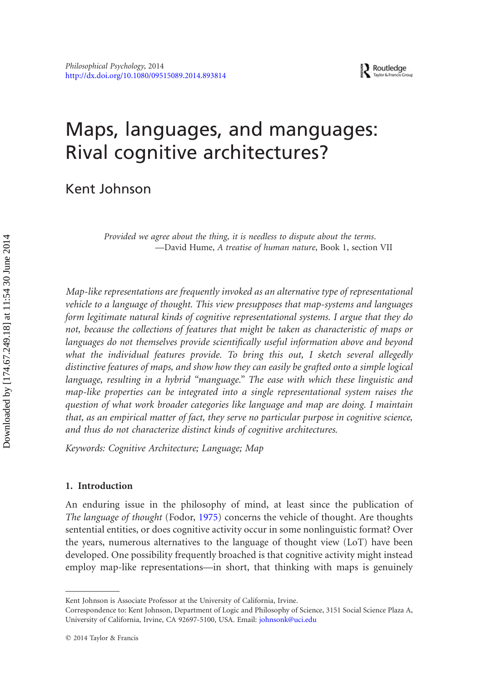# Maps, languages, and manguages: Rival cognitive architectures?

Kent Johnson

Provided we agree about the thing, it is needless to dispute about the terms. —David Hume, A treatise of human nature, Book 1, section VII

Map-like representations are frequently invoked as an alternative type of representational vehicle to a language of thought. This view presupposes that map-systems and languages form legitimate natural kinds of cognitive representational systems. I argue that they do not, because the collections of features that might be taken as characteristic of maps or languages do not themselves provide scientifically useful information above and beyond what the individual features provide. To bring this out, I sketch several allegedly distinctive features of maps, and show how they can easily be grafted onto a simple logical language, resulting in a hybrid "manguage." The ease with which these linguistic and map-like properties can be integrated into a single representational system raises the question of what work broader categories like language and map are doing. I maintain that, as an empirical matter of fact, they serve no particular purpose in cognitive science, and thus do not characterize distinct kinds of cognitive architectures.

Keywords: Cognitive Architecture; Language; Map

## 1. Introduction

An enduring issue in the philosophy of mind, at least since the publication of The language of thought (Fodor, [1975\)](#page-19-0) concerns the vehicle of thought. Are thoughts sentential entities, or does cognitive activity occur in some nonlinguistic format? Over the years, numerous alternatives to the language of thought view (LoT) have been developed. One possibility frequently broached is that cognitive activity might instead employ map-like representations—in short, that thinking with maps is genuinely

Kent Johnson is Associate Professor at the University of California, Irvine.

Correspondence to: Kent Johnson, Department of Logic and Philosophy of Science, 3151 Social Science Plaza A, University of California, Irvine, CA 92697-5100, USA. Email: [johnsonk@uci.edu](mailto:johnsonk@uci.edu)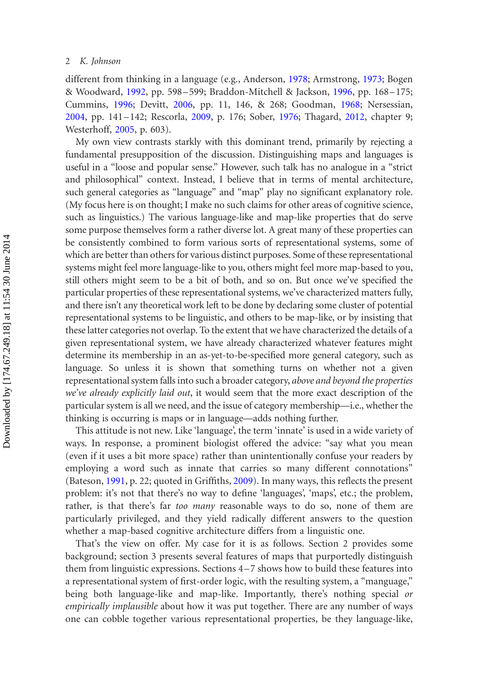different from thinking in a language (e.g., Anderson, [1978](#page-19-1); Armstrong, [1973](#page-19-2); Bogen & Woodward, [1992](#page-19-3), pp. 598–599; Braddon-Mitchell & Jackson, [1996](#page-19-4), pp. 168–175; Cummins, [1996;](#page-19-5) Devitt, [2006,](#page-19-6) pp. 11, 146, & 268; Goodman, [1968](#page-20-0); Nersessian, [2004](#page-20-1), pp. 141 –142; Rescorla, [2009](#page-20-2), p. 176; Sober, [1976;](#page-20-3) Thagard, [2012](#page-20-4), chapter 9; Westerhoff, [2005,](#page-21-0) p. 603).

My own view contrasts starkly with this dominant trend, primarily by rejecting a fundamental presupposition of the discussion. Distinguishing maps and languages is useful in a "loose and popular sense." However, such talk has no analogue in a "strict and philosophical" context. Instead, I believe that in terms of mental architecture, such general categories as "language" and "map" play no significant explanatory role. (My focus here is on thought; I make no such claims for other areas of cognitive science, such as linguistics.) The various language-like and map-like properties that do serve some purpose themselves form a rather diverse lot. A great many of these properties can be consistently combined to form various sorts of representational systems, some of which are better than others for various distinct purposes. Some of these representational systems might feel more language-like to you, others might feel more map-based to you, still others might seem to be a bit of both, and so on. But once we've specified the particular properties of these representational systems, we've characterized matters fully, and there isn't any theoretical work left to be done by declaring some cluster of potential representational systems to be linguistic, and others to be map-like, or by insisting that these latter categories not overlap. To the extent that we have characterized the details of a given representational system, we have already characterized whatever features might determine its membership in an as-yet-to-be-specified more general category, such as language. So unless it is shown that something turns on whether not a given representational system falls into such a broader category, above and beyond the properties we've already explicitly laid out, it would seem that the more exact description of the particular system is all we need, and the issue of category membership—i.e., whether the thinking is occurring is maps or in language—adds nothing further.

This attitude is not new. Like 'language', the term 'innate' is used in a wide variety of ways. In response, a prominent biologist offered the advice: "say what you mean (even if it uses a bit more space) rather than unintentionally confuse your readers by employing a word such as innate that carries so many different connotations" (Bateson, [1991](#page-19-7), p. 22; quoted in Griffiths, [2009\)](#page-20-5). In many ways, this reflects the present problem: it's not that there's no way to define 'languages', 'maps', etc.; the problem, rather, is that there's far too many reasonable ways to do so, none of them are particularly privileged, and they yield radically different answers to the question whether a map-based cognitive architecture differs from a linguistic one.

That's the view on offer. My case for it is as follows. Section 2 provides some background; section 3 presents several features of maps that purportedly distinguish them from linguistic expressions. Sections  $4-7$  shows how to build these features into a representational system of first-order logic, with the resulting system, a "manguage," being both language-like and map-like. Importantly, there's nothing special or empirically implausible about how it was put together. There are any number of ways one can cobble together various representational properties, be they language-like,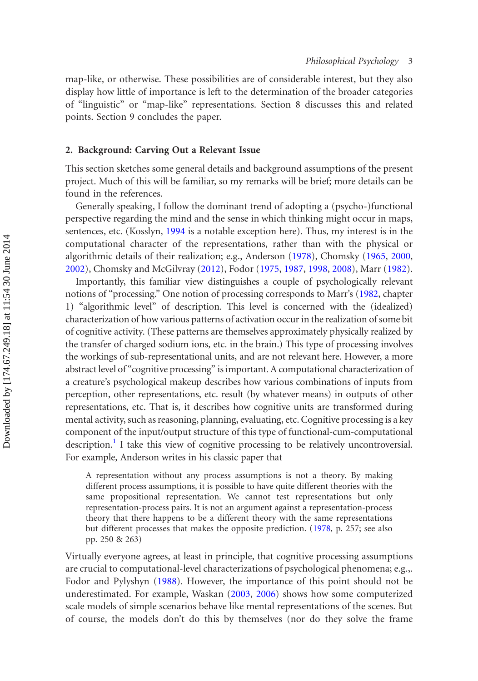map-like, or otherwise. These possibilities are of considerable interest, but they also display how little of importance is left to the determination of the broader categories of "linguistic" or "map-like" representations. Section 8 discusses this and related points. Section 9 concludes the paper.

## 2. Background: Carving Out a Relevant Issue

This section sketches some general details and background assumptions of the present project. Much of this will be familiar, so my remarks will be brief; more details can be found in the references.

Generally speaking, I follow the dominant trend of adopting a (psycho-)functional perspective regarding the mind and the sense in which thinking might occur in maps, sentences, etc. (Kosslyn, [1994](#page-20-6) is a notable exception here). Thus, my interest is in the computational character of the representations, rather than with the physical or algorithmic details of their realization; e.g., Anderson [\(1978](#page-19-1)), Chomsky ([1965,](#page-19-8) [2000](#page-19-9), [2002](#page-19-10)), Chomsky and McGilvray [\(2012](#page-19-11)), Fodor ([1975,](#page-19-0) [1987,](#page-19-12) [1998,](#page-19-13) [2008\)](#page-19-14), Marr [\(1982](#page-20-7)).

Importantly, this familiar view distinguishes a couple of psychologically relevant notions of "processing." One notion of processing corresponds to Marr's [\(1982](#page-20-7), chapter 1) "algorithmic level" of description. This level is concerned with the (idealized) characterization of how various patterns of activation occur in the realization of some bit of cognitive activity. (These patterns are themselves approximately physically realized by the transfer of charged sodium ions, etc. in the brain.) This type of processing involves the workings of sub-representational units, and are not relevant here. However, a more abstract level of "cognitive processing" is important. A computational characterization of a creature's psychological makeup describes how various combinations of inputs from perception, other representations, etc. result (by whatever means) in outputs of other representations, etc. That is, it describes how cognitive units are transformed during mental activity, such as reasoning, planning, evaluating, etc. Cognitive processing is a key component of the input/output structure of this type of functional-cum-computational description.<sup>1</sup> I take this view of cognitive processing to be relatively uncontroversial. For example, Anderson writes in his classic paper that

A representation without any process assumptions is not a theory. By making different process assumptions, it is possible to have quite different theories with the same propositional representation. We cannot test representations but only representation-process pairs. It is not an argument against a representation-process theory that there happens to be a different theory with the same representations but different processes that makes the opposite prediction. ([1978,](#page-20-8) p. 257; see also pp. 250 & 263)

Virtually everyone agrees, at least in principle, that cognitive processing assumptions are crucial to computational-level characterizations of psychological phenomena; e.g.,. Fodor and Pylyshyn [\(1988](#page-19-15)). However, the importance of this point should not be underestimated. For example, Waskan [\(2003](#page-21-1), [2006](#page-21-2)) shows how some computerized scale models of simple scenarios behave like mental representations of the scenes. But of course, the models don't do this by themselves (nor do they solve the frame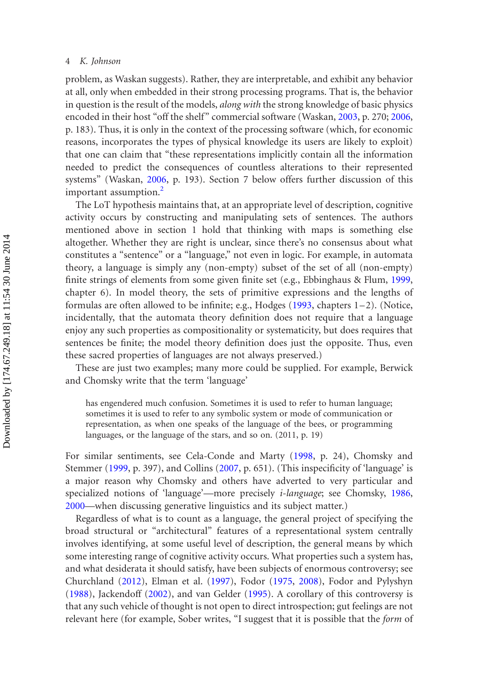problem, as Waskan suggests). Rather, they are interpretable, and exhibit any behavior at all, only when embedded in their strong processing programs. That is, the behavior in question is the result of the models, along with the strong knowledge of basic physics encoded in their host "off the shelf" commercial software (Waskan, [2003,](#page-21-1) p. 270; [2006](#page-21-2), p. 183). Thus, it is only in the context of the processing software (which, for economic reasons, incorporates the types of physical knowledge its users are likely to exploit) that one can claim that "these representations implicitly contain all the information needed to predict the consequences of countless alterations to their represented systems" (Waskan, [2006,](#page-21-2) p. 193). Section 7 below offers further discussion of this important assumption.<sup>[2](#page-17-1)</sup>

The LoT hypothesis maintains that, at an appropriate level of description, cognitive activity occurs by constructing and manipulating sets of sentences. The authors mentioned above in section 1 hold that thinking with maps is something else altogether. Whether they are right is unclear, since there's no consensus about what constitutes a "sentence" or a "language," not even in logic. For example, in automata theory, a language is simply any (non-empty) subset of the set of all (non-empty) finite strings of elements from some given finite set (e.g., Ebbinghaus & Flum, [1999](#page-19-16), chapter 6). In model theory, the sets of primitive expressions and the lengths of formulas are often allowed to be infinite; e.g., Hodges [\(1993,](#page-20-9) chapters  $1-2$ ). (Notice, incidentally, that the automata theory definition does not require that a language enjoy any such properties as compositionality or systematicity, but does requires that sentences be finite; the model theory definition does just the opposite. Thus, even these sacred properties of languages are not always preserved.)

These are just two examples; many more could be supplied. For example, Berwick and Chomsky write that the term 'language'

has engendered much confusion. Sometimes it is used to refer to human language; sometimes it is used to refer to any symbolic system or mode of communication or representation, as when one speaks of the language of the bees, or programming languages, or the language of the stars, and so on. (2011, p. 19)

For similar sentiments, see Cela-Conde and Marty ([1998,](#page-19-17) p. 24), Chomsky and Stemmer ([1999,](#page-19-18) p. 397), and Collins [\(2007](#page-19-19), p. 651). (This inspecificity of 'language' is a major reason why Chomsky and others have adverted to very particular and specialized notions of 'language'—more precisely i-language; see Chomsky, [1986](#page-19-20), [2000](#page-19-9)—when discussing generative linguistics and its subject matter.)

Regardless of what is to count as a language, the general project of specifying the broad structural or "architectural" features of a representational system centrally involves identifying, at some useful level of description, the general means by which some interesting range of cognitive activity occurs. What properties such a system has, and what desiderata it should satisfy, have been subjects of enormous controversy; see Churchland ([2012\)](#page-19-21), Elman et al. [\(1997](#page-19-22)), Fodor ([1975,](#page-19-0) [2008](#page-19-14)), Fodor and Pylyshyn [\(1988](#page-19-15)), Jackendoff ([2002](#page-20-10)), and van Gelder ([1995\)](#page-21-3). A corollary of this controversy is that any such vehicle of thought is not open to direct introspection; gut feelings are not relevant here (for example, Sober writes, "I suggest that it is possible that the form of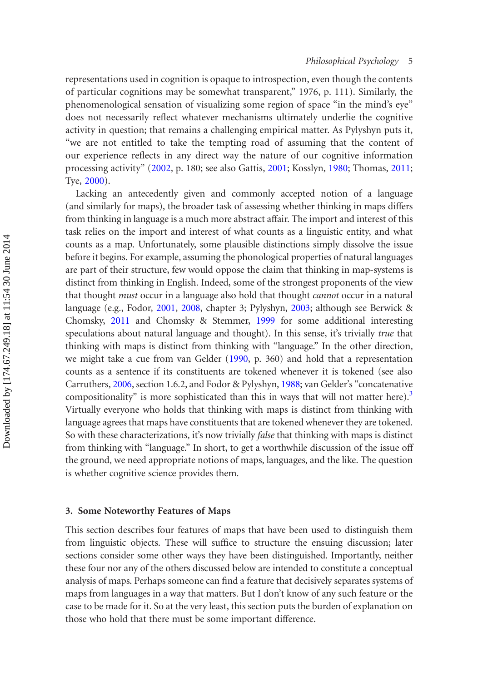representations used in cognition is opaque to introspection, even though the contents of particular cognitions may be somewhat transparent," 1976, p. 111). Similarly, the phenomenological sensation of visualizing some region of space "in the mind's eye" does not necessarily reflect whatever mechanisms ultimately underlie the cognitive activity in question; that remains a challenging empirical matter. As Pylyshyn puts it, "we are not entitled to take the tempting road of assuming that the content of our experience reflects in any direct way the nature of our cognitive information processing activity" [\(2002](#page-20-11), p. 180; see also Gattis, [2001](#page-20-12); Kosslyn, [1980;](#page-20-13) Thomas, [2011](#page-20-14); Tye, [2000](#page-20-15)).

Lacking an antecedently given and commonly accepted notion of a language (and similarly for maps), the broader task of assessing whether thinking in maps differs from thinking in language is a much more abstract affair. The import and interest of this task relies on the import and interest of what counts as a linguistic entity, and what counts as a map. Unfortunately, some plausible distinctions simply dissolve the issue before it begins. For example, assuming the phonological properties of natural languages are part of their structure, few would oppose the claim that thinking in map-systems is distinct from thinking in English. Indeed, some of the strongest proponents of the view that thought *must* occur in a language also hold that thought *cannot* occur in a natural language (e.g., Fodor, [2001,](#page-19-23) [2008,](#page-19-14) chapter 3; Pylyshyn, [2003;](#page-20-16) although see Berwick & Chomsky, [2011](#page-19-24) and Chomsky & Stemmer, [1999](#page-19-18) for some additional interesting speculations about natural language and thought). In this sense, it's trivially *true* that thinking with maps is distinct from thinking with "language." In the other direction, we might take a cue from van Gelder [\(1990,](#page-20-17) p. 360) and hold that a representation counts as a sentence if its constituents are tokened whenever it is tokened (see also Carruthers, [2006,](#page-19-25) section 1.6.2, and Fodor & Pylyshyn, [1988](#page-19-15); van Gelder's "concatenative compositionality" is more sophisticated than this in ways that will not matter here).<sup>3</sup> Virtually everyone who holds that thinking with maps is distinct from thinking with language agrees that maps have constituents that are tokened whenever they are tokened. So with these characterizations, it's now trivially *false* that thinking with maps is distinct from thinking with "language." In short, to get a worthwhile discussion of the issue off the ground, we need appropriate notions of maps, languages, and the like. The question is whether cognitive science provides them.

## 3. Some Noteworthy Features of Maps

This section describes four features of maps that have been used to distinguish them from linguistic objects. These will suffice to structure the ensuing discussion; later sections consider some other ways they have been distinguished. Importantly, neither these four nor any of the others discussed below are intended to constitute a conceptual analysis of maps. Perhaps someone can find a feature that decisively separates systems of maps from languages in a way that matters. But I don't know of any such feature or the case to be made for it. So at the very least, this section puts the burden of explanation on those who hold that there must be some important difference.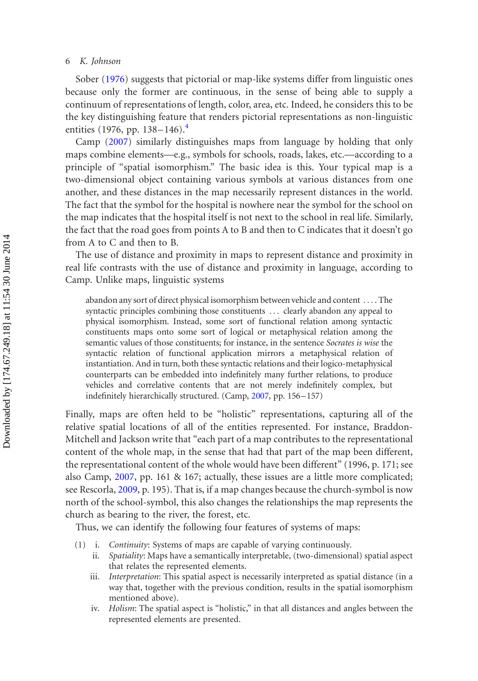Sober ([1976\)](#page-20-3) suggests that pictorial or map-like systems differ from linguistic ones because only the former are continuous, in the sense of being able to supply a continuum of representations of length, color, area, etc. Indeed, he considers this to be the key distinguishing feature that renders pictorial representations as non-linguistic entities (1976, pp. 138–1[4](#page-18-1)6).<sup>4</sup>

Camp [\(2007](#page-19-26)) similarly distinguishes maps from language by holding that only maps combine elements—e.g., symbols for schools, roads, lakes, etc.—according to a principle of "spatial isomorphism." The basic idea is this. Your typical map is a two-dimensional object containing various symbols at various distances from one another, and these distances in the map necessarily represent distances in the world. The fact that the symbol for the hospital is nowhere near the symbol for the school on the map indicates that the hospital itself is not next to the school in real life. Similarly, the fact that the road goes from points A to B and then to C indicates that it doesn't go from A to C and then to B.

The use of distance and proximity in maps to represent distance and proximity in real life contrasts with the use of distance and proximity in language, according to Camp. Unlike maps, linguistic systems

abandon any sort of direct physical isomorphism between vehicle and content ... . The syntactic principles combining those constituents ... clearly abandon any appeal to physical isomorphism. Instead, some sort of functional relation among syntactic constituents maps onto some sort of logical or metaphysical relation among the semantic values of those constituents; for instance, in the sentence Socrates is wise the syntactic relation of functional application mirrors a metaphysical relation of instantiation. And in turn, both these syntactic relations and their logico-metaphysical counterparts can be embedded into indefinitely many further relations, to produce vehicles and correlative contents that are not merely indefinitely complex, but indefinitely hierarchically structured. (Camp, [2007](#page-19-26), pp. 156–157)

Finally, maps are often held to be "holistic" representations, capturing all of the relative spatial locations of all of the entities represented. For instance, Braddon-Mitchell and Jackson write that "each part of a map contributes to the representational content of the whole map, in the sense that had that part of the map been different, the representational content of the whole would have been different" (1996, p. 171; see also Camp, [2007](#page-19-26), pp. 161 & 167; actually, these issues are a little more complicated; see Rescorla, [2009,](#page-20-2) p. 195). That is, if a map changes because the church-symbol is now north of the school-symbol, this also changes the relationships the map represents the church as bearing to the river, the forest, etc.

Thus, we can identify the following four features of systems of maps:

- (1) i. Continuity: Systems of maps are capable of varying continuously.
	- ii. Spatiality: Maps have a semantically interpretable, (two-dimensional) spatial aspect that relates the represented elements.
	- iii. Interpretation: This spatial aspect is necessarily interpreted as spatial distance (in a way that, together with the previous condition, results in the spatial isomorphism mentioned above).
	- iv. Holism: The spatial aspect is "holistic," in that all distances and angles between the represented elements are presented.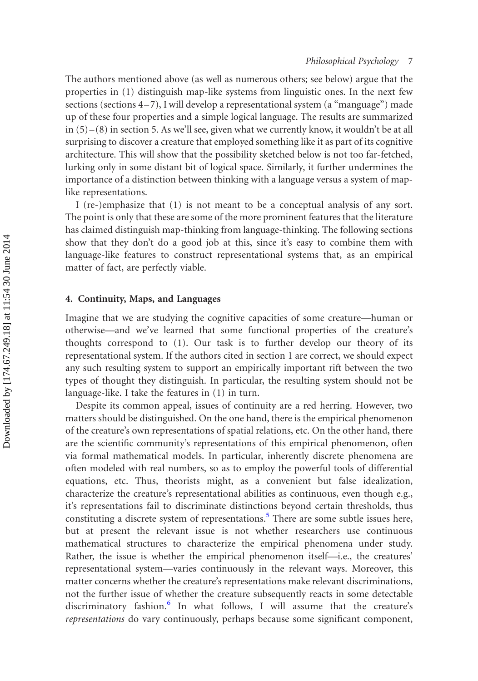The authors mentioned above (as well as numerous others; see below) argue that the properties in (1) distinguish map-like systems from linguistic ones. In the next few sections (sections  $4-7$ ), I will develop a representational system (a "manguage") made up of these four properties and a simple logical language. The results are summarized in  $(5)$ – $(8)$  in section 5. As we'll see, given what we currently know, it wouldn't be at all surprising to discover a creature that employed something like it as part of its cognitive architecture. This will show that the possibility sketched below is not too far-fetched, lurking only in some distant bit of logical space. Similarly, it further undermines the importance of a distinction between thinking with a language versus a system of maplike representations.

I (re-)emphasize that (1) is not meant to be a conceptual analysis of any sort. The point is only that these are some of the more prominent features that the literature has claimed distinguish map-thinking from language-thinking. The following sections show that they don't do a good job at this, since it's easy to combine them with language-like features to construct representational systems that, as an empirical matter of fact, are perfectly viable.

## 4. Continuity, Maps, and Languages

Imagine that we are studying the cognitive capacities of some creature—human or otherwise—and we've learned that some functional properties of the creature's thoughts correspond to (1). Our task is to further develop our theory of its representational system. If the authors cited in section 1 are correct, we should expect any such resulting system to support an empirically important rift between the two types of thought they distinguish. In particular, the resulting system should not be language-like. I take the features in (1) in turn.

Despite its common appeal, issues of continuity are a red herring. However, two matters should be distinguished. On the one hand, there is the empirical phenomenon of the creature's own representations of spatial relations, etc. On the other hand, there are the scientific community's representations of this empirical phenomenon, often via formal mathematical models. In particular, inherently discrete phenomena are often modeled with real numbers, so as to employ the powerful tools of differential equations, etc. Thus, theorists might, as a convenient but false idealization, characterize the creature's representational abilities as continuous, even though e.g., it's representations fail to discriminate distinctions beyond certain thresholds, thus constituting a discrete system of representations.<sup>[5](#page-18-2)</sup> There are some subtle issues here, but at present the relevant issue is not whether researchers use continuous mathematical structures to characterize the empirical phenomena under study. Rather, the issue is whether the empirical phenomenon itself—i.e., the creatures' representational system—varies continuously in the relevant ways. Moreover, this matter concerns whether the creature's representations make relevant discriminations, not the further issue of whether the creature subsequently reacts in some detectable discriminatory fashion.<sup>[6](#page-18-3)</sup> In what follows, I will assume that the creature's representations do vary continuously, perhaps because some significant component,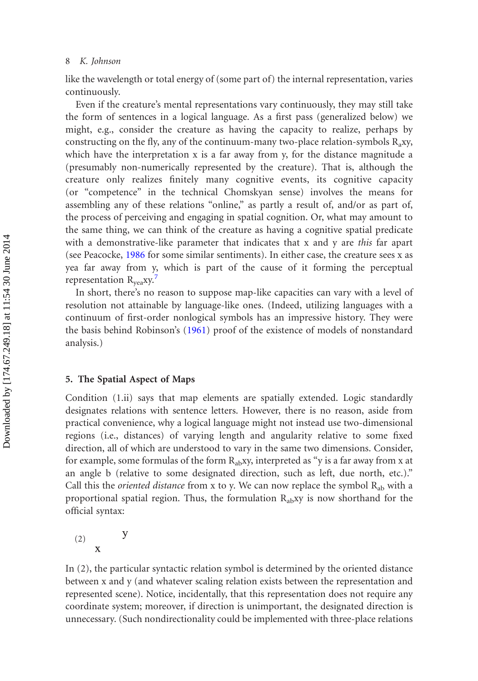like the wavelength or total energy of (some part of) the internal representation, varies continuously.

Even if the creature's mental representations vary continuously, they may still take the form of sentences in a logical language. As a first pass (generalized below) we might, e.g., consider the creature as having the capacity to realize, perhaps by constructing on the fly, any of the continuum-many two-place relation-symbols  $R<sub>a</sub>xy$ , which have the interpretation  $x$  is a far away from  $y$ , for the distance magnitude a (presumably non-numerically represented by the creature). That is, although the creature only realizes finitely many cognitive events, its cognitive capacity (or "competence" in the technical Chomskyan sense) involves the means for assembling any of these relations "online," as partly a result of, and/or as part of, the process of perceiving and engaging in spatial cognition. Or, what may amount to the same thing, we can think of the creature as having a cognitive spatial predicate with a demonstrative-like parameter that indicates that x and y are this far apart (see Peacocke, [1986](#page-20-18) for some similar sentiments). In either case, the creature sees x as yea far away from y, which is part of the cause of it forming the perceptual representation  $R_{\text{vea}}$ xy.

In short, there's no reason to suppose map-like capacities can vary with a level of resolution not attainable by language-like ones. (Indeed, utilizing languages with a continuum of first-order nonlogical symbols has an impressive history. They were the basis behind Robinson's ([1961\)](#page-20-19) proof of the existence of models of nonstandard analysis.)

# 5. The Spatial Aspect of Maps

Condition (1.ii) says that map elements are spatially extended. Logic standardly designates relations with sentence letters. However, there is no reason, aside from practical convenience, why a logical language might not instead use two-dimensional regions (i.e., distances) of varying length and angularity relative to some fixed direction, all of which are understood to vary in the same two dimensions. Consider, for example, some formulas of the form  $R_{ab}$ xy, interpreted as "y is a far away from x at an angle b (relative to some designated direction, such as left, due north, etc.)." Call this the *oriented distance* from x to y. We can now replace the symbol  $R_{ab}$  with a proportional spatial region. Thus, the formulation  $R_{ab}$ xy is now shorthand for the official syntax:

y (2)  $\bar{X}$ 

In (2), the particular syntactic relation symbol is determined by the oriented distance between x and y (and whatever scaling relation exists between the representation and represented scene). Notice, incidentally, that this representation does not require any coordinate system; moreover, if direction is unimportant, the designated direction is unnecessary. (Such nondirectionality could be implemented with three-place relations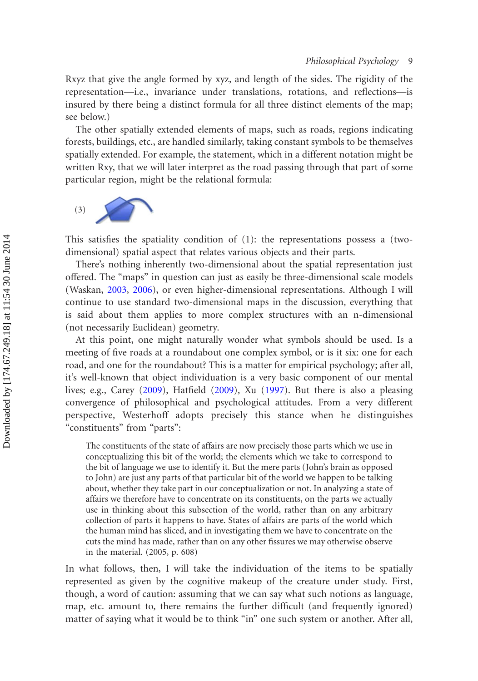Rxyz that give the angle formed by xyz, and length of the sides. The rigidity of the representation—i.e., invariance under translations, rotations, and reflections—is insured by there being a distinct formula for all three distinct elements of the map; see below.)

The other spatially extended elements of maps, such as roads, regions indicating forests, buildings, etc., are handled similarly, taking constant symbols to be themselves spatially extended. For example, the statement, which in a different notation might be written Rxy, that we will later interpret as the road passing through that part of some particular region, might be the relational formula:



This satisfies the spatiality condition of (1): the representations possess a (twodimensional) spatial aspect that relates various objects and their parts.

There's nothing inherently two-dimensional about the spatial representation just offered. The "maps" in question can just as easily be three-dimensional scale models (Waskan, [2003,](#page-21-1) [2006](#page-21-2)), or even higher-dimensional representations. Although I will continue to use standard two-dimensional maps in the discussion, everything that is said about them applies to more complex structures with an n-dimensional (not necessarily Euclidean) geometry.

At this point, one might naturally wonder what symbols should be used. Is a meeting of five roads at a roundabout one complex symbol, or is it six: one for each road, and one for the roundabout? This is a matter for empirical psychology; after all, it's well-known that object individuation is a very basic component of our mental lives; e.g., Carey [\(2009](#page-19-27)), Hatfield [\(2009](#page-20-20)), Xu [\(1997](#page-21-4)). But there is also a pleasing convergence of philosophical and psychological attitudes. From a very different perspective, Westerhoff adopts precisely this stance when he distinguishes "constituents" from "parts":

The constituents of the state of affairs are now precisely those parts which we use in conceptualizing this bit of the world; the elements which we take to correspond to the bit of language we use to identify it. But the mere parts (John's brain as opposed to John) are just any parts of that particular bit of the world we happen to be talking about, whether they take part in our conceptualization or not. In analyzing a state of affairs we therefore have to concentrate on its constituents, on the parts we actually use in thinking about this subsection of the world, rather than on any arbitrary collection of parts it happens to have. States of affairs are parts of the world which the human mind has sliced, and in investigating them we have to concentrate on the cuts the mind has made, rather than on any other fissures we may otherwise observe in the material. (2005, p. 608)

In what follows, then, I will take the individuation of the items to be spatially represented as given by the cognitive makeup of the creature under study. First, though, a word of caution: assuming that we can say what such notions as language, map, etc. amount to, there remains the further difficult (and frequently ignored) matter of saying what it would be to think "in" one such system or another. After all,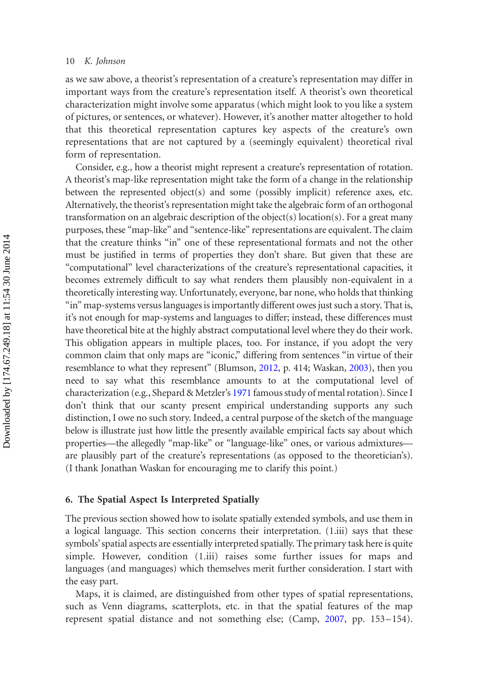as we saw above, a theorist's representation of a creature's representation may differ in important ways from the creature's representation itself. A theorist's own theoretical characterization might involve some apparatus (which might look to you like a system of pictures, or sentences, or whatever). However, it's another matter altogether to hold that this theoretical representation captures key aspects of the creature's own representations that are not captured by a (seemingly equivalent) theoretical rival form of representation.

Consider, e.g., how a theorist might represent a creature's representation of rotation. A theorist's map-like representation might take the form of a change in the relationship between the represented object(s) and some (possibly implicit) reference axes, etc. Alternatively, the theorist's representation might take the algebraic form of an orthogonal transformation on an algebraic description of the object(s) location(s). For a great many purposes, these "map-like" and "sentence-like" representations are equivalent. The claim that the creature thinks "in" one of these representational formats and not the other must be justified in terms of properties they don't share. But given that these are "computational" level characterizations of the creature's representational capacities, it becomes extremely difficult to say what renders them plausibly non-equivalent in a theoretically interesting way. Unfortunately, everyone, bar none, who holds that thinking "in" map-systems versus languages is importantly different owes just such a story. That is, it's not enough for map-systems and languages to differ; instead, these differences must have theoretical bite at the highly abstract computational level where they do their work. This obligation appears in multiple places, too. For instance, if you adopt the very common claim that only maps are "iconic," differing from sentences "in virtue of their resemblance to what they represent" (Blumson, [2012,](#page-19-28) p. 414; Waskan, [2003\)](#page-21-1), then you need to say what this resemblance amounts to at the computational level of characterization (e.g., Shepard & Metzler's [1971](#page-20-21) famous study of mental rotation). Since I don't think that our scanty present empirical understanding supports any such distinction, I owe no such story. Indeed, a central purpose of the sketch of the manguage below is illustrate just how little the presently available empirical facts say about which properties—the allegedly "map-like" or "language-like" ones, or various admixtures are plausibly part of the creature's representations (as opposed to the theoretician's). (I thank Jonathan Waskan for encouraging me to clarify this point.)

## 6. The Spatial Aspect Is Interpreted Spatially

The previous section showed how to isolate spatially extended symbols, and use them in a logical language. This section concerns their interpretation. (1.iii) says that these symbols' spatial aspects are essentially interpreted spatially. The primary task here is quite simple. However, condition (1.iii) raises some further issues for maps and languages (and manguages) which themselves merit further consideration. I start with the easy part.

Maps, it is claimed, are distinguished from other types of spatial representations, such as Venn diagrams, scatterplots, etc. in that the spatial features of the map represent spatial distance and not something else; (Camp, [2007](#page-19-26), pp. 153–154).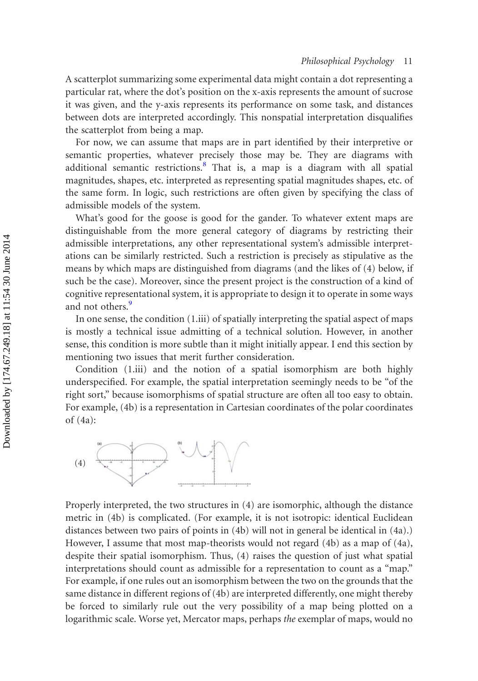A scatterplot summarizing some experimental data might contain a dot representing a particular rat, where the dot's position on the x-axis represents the amount of sucrose it was given, and the y-axis represents its performance on some task, and distances between dots are interpreted accordingly. This nonspatial interpretation disqualifies the scatterplot from being a map.

For now, we can assume that maps are in part identified by their interpretive or semantic properties, whatever precisely those may be. They are diagrams with additional semantic restrictions.<sup>[8](#page-18-5)</sup> That is, a map is a diagram with all spatial magnitudes, shapes, etc. interpreted as representing spatial magnitudes shapes, etc. of the same form. In logic, such restrictions are often given by specifying the class of admissible models of the system.

What's good for the goose is good for the gander. To whatever extent maps are distinguishable from the more general category of diagrams by restricting their admissible interpretations, any other representational system's admissible interpretations can be similarly restricted. Such a restriction is precisely as stipulative as the means by which maps are distinguished from diagrams (and the likes of (4) below, if such be the case). Moreover, since the present project is the construction of a kind of cognitive representational system, it is appropriate to design it to operate in some ways and not others.<sup>[9](#page-18-6)</sup>

In one sense, the condition (1.iii) of spatially interpreting the spatial aspect of maps is mostly a technical issue admitting of a technical solution. However, in another sense, this condition is more subtle than it might initially appear. I end this section by mentioning two issues that merit further consideration.

Condition (1.iii) and the notion of a spatial isomorphism are both highly underspecified. For example, the spatial interpretation seemingly needs to be "of the right sort," because isomorphisms of spatial structure are often all too easy to obtain. For example, (4b) is a representation in Cartesian coordinates of the polar coordinates of (4a):



Properly interpreted, the two structures in (4) are isomorphic, although the distance metric in (4b) is complicated. (For example, it is not isotropic: identical Euclidean distances between two pairs of points in (4b) will not in general be identical in (4a).) However, I assume that most map-theorists would not regard (4b) as a map of (4a), despite their spatial isomorphism. Thus, (4) raises the question of just what spatial interpretations should count as admissible for a representation to count as a "map." For example, if one rules out an isomorphism between the two on the grounds that the same distance in different regions of (4b) are interpreted differently, one might thereby be forced to similarly rule out the very possibility of a map being plotted on a logarithmic scale. Worse yet, Mercator maps, perhaps the exemplar of maps, would no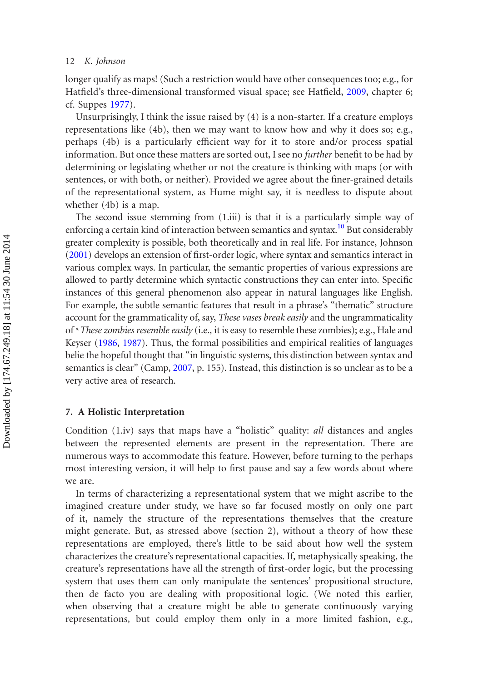longer qualify as maps! (Such a restriction would have other consequences too; e.g., for Hatfield's three-dimensional transformed visual space; see Hatfield, [2009,](#page-20-20) chapter 6; cf. Suppes [1977](#page-20-22)).

Unsurprisingly, I think the issue raised by (4) is a non-starter. If a creature employs representations like (4b), then we may want to know how and why it does so; e.g., perhaps (4b) is a particularly efficient way for it to store and/or process spatial information. But once these matters are sorted out, I see no further benefit to be had by determining or legislating whether or not the creature is thinking with maps (or with sentences, or with both, or neither). Provided we agree about the finer-grained details of the representational system, as Hume might say, it is needless to dispute about whether (4b) is a map.

The second issue stemming from (1.iii) is that it is a particularly simple way of enforcing a certain kind of interaction between semantics and syntax.<sup>[10](#page-18-7)</sup> But considerably greater complexity is possible, both theoretically and in real life. For instance, Johnson [\(2001\)](#page-20-23) develops an extension of first-order logic, where syntax and semantics interact in various complex ways. In particular, the semantic properties of various expressions are allowed to partly determine which syntactic constructions they can enter into. Specific instances of this general phenomenon also appear in natural languages like English. For example, the subtle semantic features that result in a phrase's "thematic" structure account for the grammaticality of, say, These vases break easily and the ungrammaticality of \*These zombies resemble easily (i.e., it is easy to resemble these zombies); e.g., Hale and Keyser [\(1986,](#page-20-24) [1987](#page-20-25)). Thus, the formal possibilities and empirical realities of languages belie the hopeful thought that "in linguistic systems, this distinction between syntax and semantics is clear" (Camp, [2007](#page-19-26), p. 155). Instead, this distinction is so unclear as to be a very active area of research.

# 7. A Holistic Interpretation

Condition (1.iv) says that maps have a "holistic" quality: all distances and angles between the represented elements are present in the representation. There are numerous ways to accommodate this feature. However, before turning to the perhaps most interesting version, it will help to first pause and say a few words about where we are.

In terms of characterizing a representational system that we might ascribe to the imagined creature under study, we have so far focused mostly on only one part of it, namely the structure of the representations themselves that the creature might generate. But, as stressed above (section 2), without a theory of how these representations are employed, there's little to be said about how well the system characterizes the creature's representational capacities. If, metaphysically speaking, the creature's representations have all the strength of first-order logic, but the processing system that uses them can only manipulate the sentences' propositional structure, then de facto you are dealing with propositional logic. (We noted this earlier, when observing that a creature might be able to generate continuously varying representations, but could employ them only in a more limited fashion, e.g.,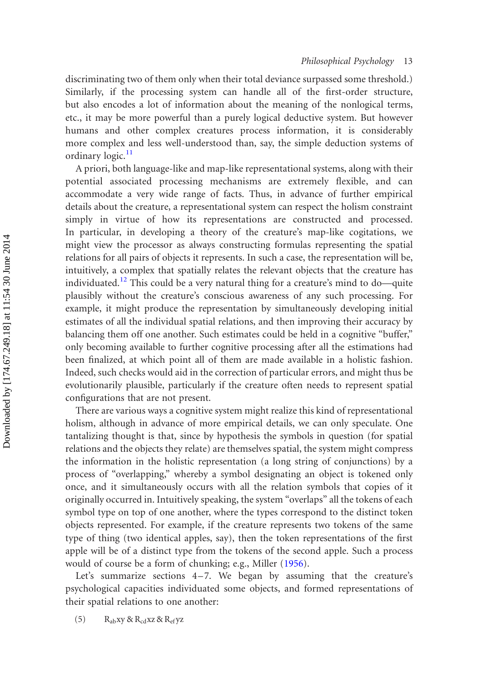discriminating two of them only when their total deviance surpassed some threshold.) Similarly, if the processing system can handle all of the first-order structure, but also encodes a lot of information about the meaning of the nonlogical terms, etc., it may be more powerful than a purely logical deductive system. But however humans and other complex creatures process information, it is considerably more complex and less well-understood than, say, the simple deduction systems of ordinary logic.<sup>[11](#page-18-8)</sup>

A priori, both language-like and map-like representational systems, along with their potential associated processing mechanisms are extremely flexible, and can accommodate a very wide range of facts. Thus, in advance of further empirical details about the creature, a representational system can respect the holism constraint simply in virtue of how its representations are constructed and processed. In particular, in developing a theory of the creature's map-like cogitations, we might view the processor as always constructing formulas representing the spatial relations for all pairs of objects it represents. In such a case, the representation will be, intuitively, a complex that spatially relates the relevant objects that the creature has individuated.[12](#page-18-9) This could be a very natural thing for a creature's mind to do—quite plausibly without the creature's conscious awareness of any such processing. For example, it might produce the representation by simultaneously developing initial estimates of all the individual spatial relations, and then improving their accuracy by balancing them off one another. Such estimates could be held in a cognitive "buffer," only becoming available to further cognitive processing after all the estimations had been finalized, at which point all of them are made available in a holistic fashion. Indeed, such checks would aid in the correction of particular errors, and might thus be evolutionarily plausible, particularly if the creature often needs to represent spatial configurations that are not present.

There are various ways a cognitive system might realize this kind of representational holism, although in advance of more empirical details, we can only speculate. One tantalizing thought is that, since by hypothesis the symbols in question (for spatial relations and the objects they relate) are themselves spatial, the system might compress the information in the holistic representation (a long string of conjunctions) by a process of "overlapping," whereby a symbol designating an object is tokened only once, and it simultaneously occurs with all the relation symbols that copies of it originally occurred in. Intuitively speaking, the system "overlaps" all the tokens of each symbol type on top of one another, where the types correspond to the distinct token objects represented. For example, if the creature represents two tokens of the same type of thing (two identical apples, say), then the token representations of the first apple will be of a distinct type from the tokens of the second apple. Such a process would of course be a form of chunking; e.g., Miller ([1956\)](#page-20-26).

Let's summarize sections 4–7. We began by assuming that the creature's psychological capacities individuated some objects, and formed representations of their spatial relations to one another:

(5)  $R_{ab}xy \& R_{cd}xz \& R_{ef}yz$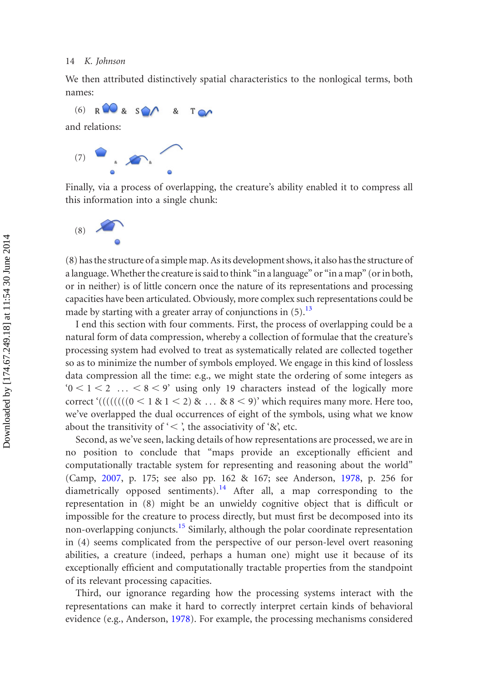We then attributed distinctively spatial characteristics to the nonlogical terms, both names:





Finally, via a process of overlapping, the creature's ability enabled it to compress all this information into a single chunk:



(8) has the structure of a simple map. As its development shows, it also has the structure of a language.Whether the creature is said to think "in a language" or "in a map" (or in both, or in neither) is of little concern once the nature of its representations and processing capacities have been articulated. Obviously, more complex such representations could be made by starting with a greater array of conjunctions in  $(5)$ .<sup>[13](#page-18-10)</sup>

I end this section with four comments. First, the process of overlapping could be a natural form of data compression, whereby a collection of formulae that the creature's processing system had evolved to treat as systematically related are collected together so as to minimize the number of symbols employed. We engage in this kind of lossless data compression all the time: e.g., we might state the ordering of some integers as  $0 < 1 < 2$  ...  $< 8 < 9$ ' using only 19 characters instead of the logically more correct '((((((((0 < 1 & 1 < 2) & ... & 8 < 9)' which requires many more. Here too, we've overlapped the dual occurrences of eight of the symbols, using what we know about the transitivity of ' $\lt'$ ', the associativity of '&', etc.

Second, as we've seen, lacking details of how representations are processed, we are in no position to conclude that "maps provide an exceptionally efficient and computationally tractable system for representing and reasoning about the world" (Camp, [2007,](#page-19-26) p. 175; see also pp. 162 & 167; see Anderson, [1978](#page-19-1), p. 256 for diametrically opposed sentiments).<sup>[14](#page-18-11)</sup> After all, a map corresponding to the representation in (8) might be an unwieldy cognitive object that is difficult or impossible for the creature to process directly, but must first be decomposed into its non-overlapping conjuncts.[15](#page-18-12) Similarly, although the polar coordinate representation in (4) seems complicated from the perspective of our person-level overt reasoning abilities, a creature (indeed, perhaps a human one) might use it because of its exceptionally efficient and computationally tractable properties from the standpoint of its relevant processing capacities.

Third, our ignorance regarding how the processing systems interact with the representations can make it hard to correctly interpret certain kinds of behavioral evidence (e.g., Anderson, [1978](#page-19-1)). For example, the processing mechanisms considered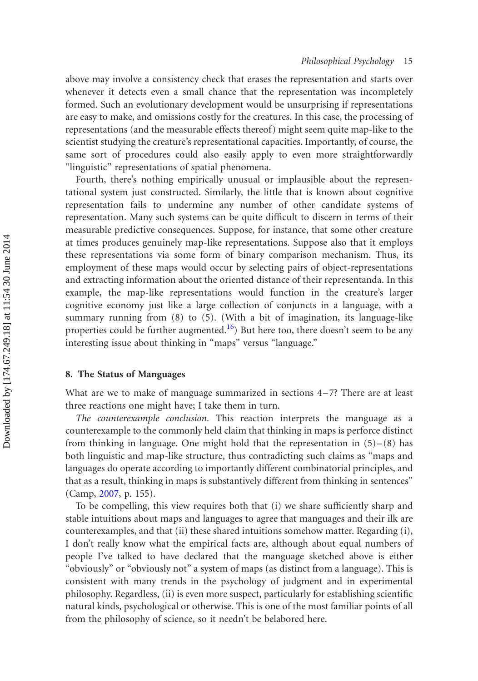above may involve a consistency check that erases the representation and starts over whenever it detects even a small chance that the representation was incompletely formed. Such an evolutionary development would be unsurprising if representations are easy to make, and omissions costly for the creatures. In this case, the processing of representations (and the measurable effects thereof) might seem quite map-like to the scientist studying the creature's representational capacities. Importantly, of course, the same sort of procedures could also easily apply to even more straightforwardly "linguistic" representations of spatial phenomena.

Fourth, there's nothing empirically unusual or implausible about the representational system just constructed. Similarly, the little that is known about cognitive representation fails to undermine any number of other candidate systems of representation. Many such systems can be quite difficult to discern in terms of their measurable predictive consequences. Suppose, for instance, that some other creature at times produces genuinely map-like representations. Suppose also that it employs these representations via some form of binary comparison mechanism. Thus, its employment of these maps would occur by selecting pairs of object-representations and extracting information about the oriented distance of their representanda. In this example, the map-like representations would function in the creature's larger cognitive economy just like a large collection of conjuncts in a language, with a summary running from (8) to (5). (With a bit of imagination, its language-like properties could be further augmented.<sup>[16](#page-18-13)</sup>) But here too, there doesn't seem to be any interesting issue about thinking in "maps" versus "language."

## 8. The Status of Manguages

What are we to make of manguage summarized in sections 4–7? There are at least three reactions one might have; I take them in turn.

The counterexample conclusion. This reaction interprets the manguage as a counterexample to the commonly held claim that thinking in maps is perforce distinct from thinking in language. One might hold that the representation in  $(5)$ – $(8)$  has both linguistic and map-like structure, thus contradicting such claims as "maps and languages do operate according to importantly different combinatorial principles, and that as a result, thinking in maps is substantively different from thinking in sentences" (Camp, [2007](#page-19-26), p. 155).

To be compelling, this view requires both that (i) we share sufficiently sharp and stable intuitions about maps and languages to agree that manguages and their ilk are counterexamples, and that (ii) these shared intuitions somehow matter. Regarding (i), I don't really know what the empirical facts are, although about equal numbers of people I've talked to have declared that the manguage sketched above is either "obviously" or "obviously not" a system of maps (as distinct from a language). This is consistent with many trends in the psychology of judgment and in experimental philosophy. Regardless, (ii) is even more suspect, particularly for establishing scientific natural kinds, psychological or otherwise. This is one of the most familiar points of all from the philosophy of science, so it needn't be belabored here.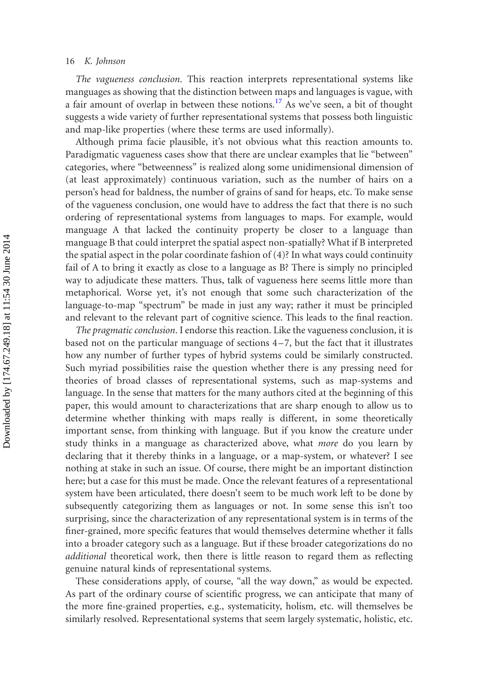The vagueness conclusion. This reaction interprets representational systems like manguages as showing that the distinction between maps and languages is vague, with a fair amount of overlap in between these notions.<sup>[17](#page-18-14)</sup> As we've seen, a bit of thought suggests a wide variety of further representational systems that possess both linguistic and map-like properties (where these terms are used informally).

Although prima facie plausible, it's not obvious what this reaction amounts to. Paradigmatic vagueness cases show that there are unclear examples that lie "between" categories, where "betweenness" is realized along some unidimensional dimension of (at least approximately) continuous variation, such as the number of hairs on a person's head for baldness, the number of grains of sand for heaps, etc. To make sense of the vagueness conclusion, one would have to address the fact that there is no such ordering of representational systems from languages to maps. For example, would manguage A that lacked the continuity property be closer to a language than manguage B that could interpret the spatial aspect non-spatially? What if B interpreted the spatial aspect in the polar coordinate fashion of  $(4)$ ? In what ways could continuity fail of A to bring it exactly as close to a language as B? There is simply no principled way to adjudicate these matters. Thus, talk of vagueness here seems little more than metaphorical. Worse yet, it's not enough that some such characterization of the language-to-map "spectrum" be made in just any way; rather it must be principled and relevant to the relevant part of cognitive science. This leads to the final reaction.

The pragmatic conclusion. I endorse this reaction. Like the vagueness conclusion, it is based not on the particular manguage of sections  $4-7$ , but the fact that it illustrates how any number of further types of hybrid systems could be similarly constructed. Such myriad possibilities raise the question whether there is any pressing need for theories of broad classes of representational systems, such as map-systems and language. In the sense that matters for the many authors cited at the beginning of this paper, this would amount to characterizations that are sharp enough to allow us to determine whether thinking with maps really is different, in some theoretically important sense, from thinking with language. But if you know the creature under study thinks in a manguage as characterized above, what *more* do you learn by declaring that it thereby thinks in a language, or a map-system, or whatever? I see nothing at stake in such an issue. Of course, there might be an important distinction here; but a case for this must be made. Once the relevant features of a representational system have been articulated, there doesn't seem to be much work left to be done by subsequently categorizing them as languages or not. In some sense this isn't too surprising, since the characterization of any representational system is in terms of the finer-grained, more specific features that would themselves determine whether it falls into a broader category such as a language. But if these broader categorizations do no additional theoretical work, then there is little reason to regard them as reflecting genuine natural kinds of representational systems.

These considerations apply, of course, "all the way down," as would be expected. As part of the ordinary course of scientific progress, we can anticipate that many of the more fine-grained properties, e.g., systematicity, holism, etc. will themselves be similarly resolved. Representational systems that seem largely systematic, holistic, etc.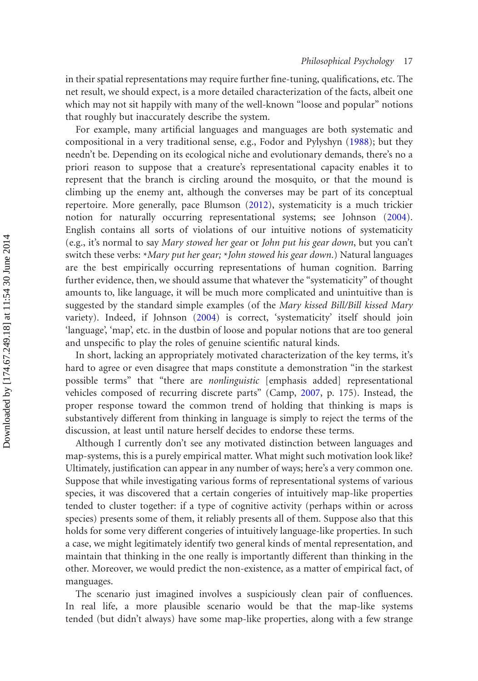in their spatial representations may require further fine-tuning, qualifications, etc. The net result, we should expect, is a more detailed characterization of the facts, albeit one which may not sit happily with many of the well-known "loose and popular" notions that roughly but inaccurately describe the system.

For example, many artificial languages and manguages are both systematic and compositional in a very traditional sense, e.g., Fodor and Pylyshyn [\(1988](#page-19-15)); but they needn't be. Depending on its ecological niche and evolutionary demands, there's no a priori reason to suppose that a creature's representational capacity enables it to represent that the branch is circling around the mosquito, or that the mound is climbing up the enemy ant, although the converses may be part of its conceptual repertoire. More generally, pace Blumson ([2012\)](#page-19-28), systematicity is a much trickier notion for naturally occurring representational systems; see Johnson [\(2004](#page-20-27)). English contains all sorts of violations of our intuitive notions of systematicity (e.g., it's normal to say Mary stowed her gear or John put his gear down, but you can't switch these verbs: \*Mary put her gear; \*John stowed his gear down.) Natural languages are the best empirically occurring representations of human cognition. Barring further evidence, then, we should assume that whatever the "systematicity" of thought amounts to, like language, it will be much more complicated and unintuitive than is suggested by the standard simple examples (of the Mary kissed Bill/Bill kissed Mary variety). Indeed, if Johnson ([2004\)](#page-20-27) is correct, 'systematicity' itself should join 'language', 'map', etc. in the dustbin of loose and popular notions that are too general and unspecific to play the roles of genuine scientific natural kinds.

In short, lacking an appropriately motivated characterization of the key terms, it's hard to agree or even disagree that maps constitute a demonstration "in the starkest possible terms" that "there are nonlinguistic [emphasis added] representational vehicles composed of recurring discrete parts" (Camp, [2007](#page-19-26), p. 175). Instead, the proper response toward the common trend of holding that thinking is maps is substantively different from thinking in language is simply to reject the terms of the discussion, at least until nature herself decides to endorse these terms.

Although I currently don't see any motivated distinction between languages and map-systems, this is a purely empirical matter. What might such motivation look like? Ultimately, justification can appear in any number of ways; here's a very common one. Suppose that while investigating various forms of representational systems of various species, it was discovered that a certain congeries of intuitively map-like properties tended to cluster together: if a type of cognitive activity (perhaps within or across species) presents some of them, it reliably presents all of them. Suppose also that this holds for some very different congeries of intuitively language-like properties. In such a case, we might legitimately identify two general kinds of mental representation, and maintain that thinking in the one really is importantly different than thinking in the other. Moreover, we would predict the non-existence, as a matter of empirical fact, of manguages.

The scenario just imagined involves a suspiciously clean pair of confluences. In real life, a more plausible scenario would be that the map-like systems tended (but didn't always) have some map-like properties, along with a few strange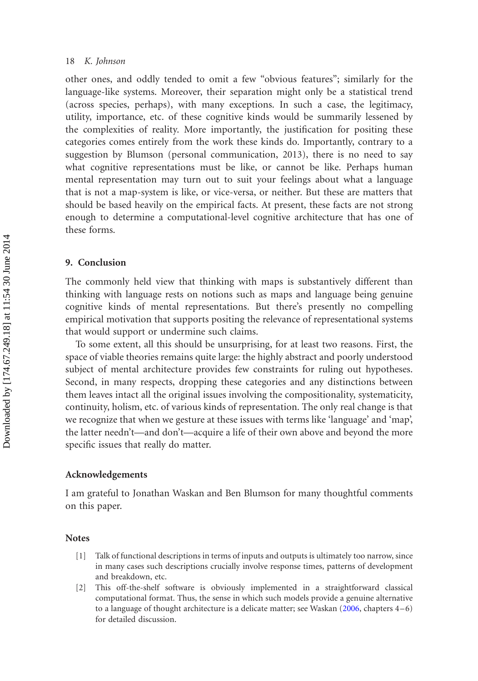other ones, and oddly tended to omit a few "obvious features"; similarly for the language-like systems. Moreover, their separation might only be a statistical trend (across species, perhaps), with many exceptions. In such a case, the legitimacy, utility, importance, etc. of these cognitive kinds would be summarily lessened by the complexities of reality. More importantly, the justification for positing these categories comes entirely from the work these kinds do. Importantly, contrary to a suggestion by Blumson (personal communication, 2013), there is no need to say what cognitive representations must be like, or cannot be like. Perhaps human mental representation may turn out to suit your feelings about what a language that is not a map-system is like, or vice-versa, or neither. But these are matters that should be based heavily on the empirical facts. At present, these facts are not strong enough to determine a computational-level cognitive architecture that has one of these forms.

## 9. Conclusion

The commonly held view that thinking with maps is substantively different than thinking with language rests on notions such as maps and language being genuine cognitive kinds of mental representations. But there's presently no compelling empirical motivation that supports positing the relevance of representational systems that would support or undermine such claims.

To some extent, all this should be unsurprising, for at least two reasons. First, the space of viable theories remains quite large: the highly abstract and poorly understood subject of mental architecture provides few constraints for ruling out hypotheses. Second, in many respects, dropping these categories and any distinctions between them leaves intact all the original issues involving the compositionality, systematicity, continuity, holism, etc. of various kinds of representation. The only real change is that we recognize that when we gesture at these issues with terms like 'language' and 'map', the latter needn't—and don't—acquire a life of their own above and beyond the more specific issues that really do matter.

# Acknowledgements

I am grateful to Jonathan Waskan and Ben Blumson for many thoughtful comments on this paper.

#### Notes

- <span id="page-17-0"></span>[1] Talk of functional descriptions in terms of inputs and outputs is ultimately too narrow, since in many cases such descriptions crucially involve response times, patterns of development and breakdown, etc.
- <span id="page-17-1"></span>[2] This off-the-shelf software is obviously implemented in a straightforward classical computational format. Thus, the sense in which such models provide a genuine alternative to a language of thought architecture is a delicate matter; see Waskan [\(2006,](#page-21-2) chapters 4 –6) for detailed discussion.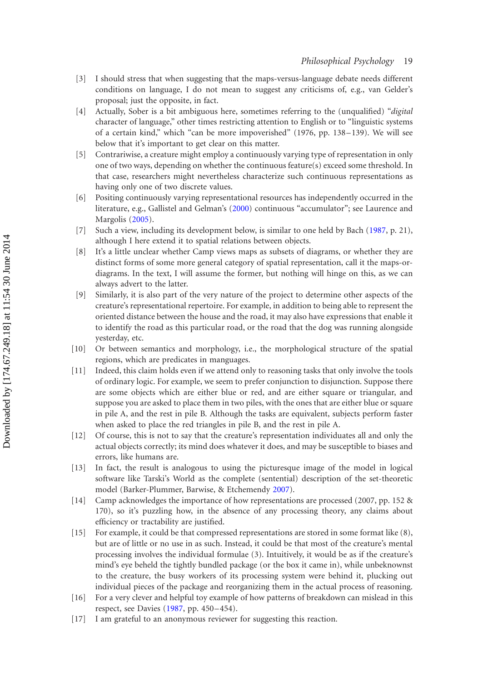- <span id="page-18-0"></span>[3] I should stress that when suggesting that the maps-versus-language debate needs different conditions on language, I do not mean to suggest any criticisms of, e.g., van Gelder's proposal; just the opposite, in fact.
- <span id="page-18-1"></span>[4] Actually, Sober is a bit ambiguous here, sometimes referring to the (unqualified) "*digital* character of language," other times restricting attention to English or to "linguistic systems of a certain kind," which "can be more impoverished" (1976, pp. 138–139). We will see below that it's important to get clear on this matter.
- <span id="page-18-2"></span>[5] Contrariwise, a creature might employ a continuously varying type of representation in only one of two ways, depending on whether the continuous feature(s) exceed some threshold. In that case, researchers might nevertheless characterize such continuous representations as having only one of two discrete values.
- <span id="page-18-3"></span>[6] Positing continuously varying representational resources has independently occurred in the literature, e.g., Gallistel and Gelman's ([2000\)](#page-20-28) continuous "accumulator"; see Laurence and Margolis [\(2005](#page-20-29)).
- <span id="page-18-4"></span>[7] Such a view, including its development below, is similar to one held by Bach ([1987,](#page-19-29) p. 21), although I here extend it to spatial relations between objects.
- <span id="page-18-5"></span>[8] It's a little unclear whether Camp views maps as subsets of diagrams, or whether they are distinct forms of some more general category of spatial representation, call it the maps-ordiagrams. In the text, I will assume the former, but nothing will hinge on this, as we can always advert to the latter.
- <span id="page-18-6"></span>[9] Similarly, it is also part of the very nature of the project to determine other aspects of the creature's representational repertoire. For example, in addition to being able to represent the oriented distance between the house and the road, it may also have expressions that enable it to identify the road as this particular road, or the road that the dog was running alongside yesterday, etc.
- <span id="page-18-7"></span>[10] Or between semantics and morphology, i.e., the morphological structure of the spatial regions, which are predicates in manguages.
- <span id="page-18-8"></span>[11] Indeed, this claim holds even if we attend only to reasoning tasks that only involve the tools of ordinary logic. For example, we seem to prefer conjunction to disjunction. Suppose there are some objects which are either blue or red, and are either square or triangular, and suppose you are asked to place them in two piles, with the ones that are either blue or square in pile A, and the rest in pile B. Although the tasks are equivalent, subjects perform faster when asked to place the red triangles in pile B, and the rest in pile A.
- <span id="page-18-9"></span>[12] Of course, this is not to say that the creature's representation individuates all and only the actual objects correctly; its mind does whatever it does, and may be susceptible to biases and errors, like humans are.
- <span id="page-18-10"></span>[13] In fact, the result is analogous to using the picturesque image of the model in logical software like Tarski's World as the complete (sentential) description of the set-theoretic model (Barker-Plummer, Barwise, & Etchemendy [2007\)](#page-19-30).
- <span id="page-18-11"></span>[14] Camp acknowledges the importance of how representations are processed (2007, pp. 152 & 170), so it's puzzling how, in the absence of any processing theory, any claims about efficiency or tractability are justified.
- <span id="page-18-12"></span>[15] For example, it could be that compressed representations are stored in some format like (8), but are of little or no use in as such. Instead, it could be that most of the creature's mental processing involves the individual formulae (3). Intuitively, it would be as if the creature's mind's eye beheld the tightly bundled package (or the box it came in), while unbeknownst to the creature, the busy workers of its processing system were behind it, plucking out individual pieces of the package and reorganizing them in the actual process of reasoning.
- <span id="page-18-14"></span><span id="page-18-13"></span>[16] For a very clever and helpful toy example of how patterns of breakdown can mislead in this respect, see Davies [\(1987,](#page-19-31) pp. 450–454).
- [17] I am grateful to an anonymous reviewer for suggesting this reaction.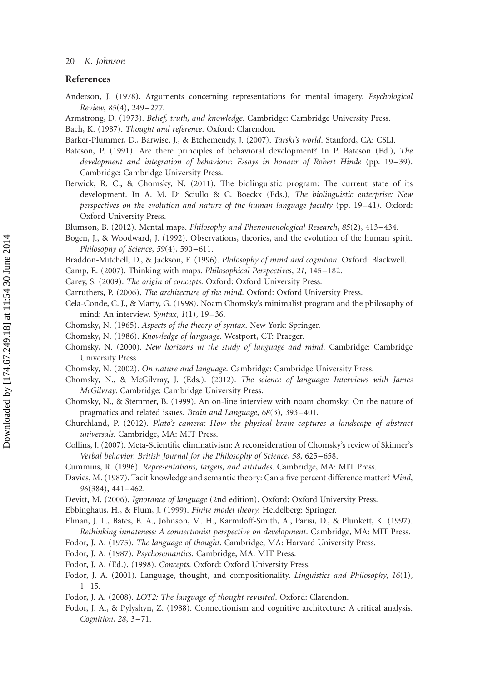## References

- <span id="page-19-1"></span>Anderson, J. (1978). Arguments concerning representations for mental imagery. Psychological Review, 85(4), 249 –277.
- <span id="page-19-2"></span>Armstrong, D. (1973). Belief, truth, and knowledge. Cambridge: Cambridge University Press.
- <span id="page-19-29"></span>Bach, K. (1987). Thought and reference. Oxford: Clarendon.
- <span id="page-19-30"></span>Barker-Plummer, D., Barwise, J., & Etchemendy, J. (2007). Tarski's world. Stanford, CA: CSLI.
- <span id="page-19-7"></span>Bateson, P. (1991). Are there principles of behavioral development? In P. Bateson (Ed.), The development and integration of behaviour: Essays in honour of Robert Hinde (pp. 19–39). Cambridge: Cambridge University Press.
- <span id="page-19-24"></span>Berwick, R. C., & Chomsky, N. (2011). The biolinguistic program: The current state of its development. In A. M. Di Sciullo & C. Boeckx (Eds.), The biolinguistic enterprise: New perspectives on the evolution and nature of the human language faculty (pp. 19 –41). Oxford: Oxford University Press.
- <span id="page-19-28"></span><span id="page-19-3"></span>Blumson, B. (2012). Mental maps. Philosophy and Phenomenological Research, 85(2), 413–434.
- Bogen, J., & Woodward, J. (1992). Observations, theories, and the evolution of the human spirit. Philosophy of Science, 59(4), 590–611.
- <span id="page-19-26"></span><span id="page-19-4"></span>Braddon-Mitchell, D., & Jackson, F. (1996). Philosophy of mind and cognition. Oxford: Blackwell.
- <span id="page-19-27"></span>Camp, E. (2007). Thinking with maps. Philosophical Perspectives, 21, 145–182.
- <span id="page-19-25"></span>Carey, S. (2009). The origin of concepts. Oxford: Oxford University Press.
- <span id="page-19-17"></span>Carruthers, P. (2006). The architecture of the mind. Oxford: Oxford University Press.
- Cela-Conde, C. J., & Marty, G. (1998). Noam Chomsky's minimalist program and the philosophy of mind: An interview. Syntax,  $1(1)$ ,  $19-36$ .
- <span id="page-19-20"></span><span id="page-19-8"></span>Chomsky, N. (1965). Aspects of the theory of syntax. New York: Springer.
- <span id="page-19-9"></span>Chomsky, N. (1986). Knowledge of language. Westport, CT: Praeger.
- Chomsky, N. (2000). New horizons in the study of language and mind. Cambridge: Cambridge University Press.
- <span id="page-19-11"></span><span id="page-19-10"></span>Chomsky, N. (2002). On nature and language. Cambridge: Cambridge University Press.
- Chomsky, N., & McGilvray, J. (Eds.). (2012). The science of language: Interviews with James McGilvray. Cambridge: Cambridge University Press.
- <span id="page-19-18"></span>Chomsky, N., & Stemmer, B. (1999). An on-line interview with noam chomsky: On the nature of pragmatics and related issues. Brain and Language, 68(3), 393–401.
- <span id="page-19-21"></span>Churchland, P. (2012). Plato's camera: How the physical brain captures a landscape of abstract universals. Cambridge, MA: MIT Press.
- <span id="page-19-19"></span><span id="page-19-5"></span>Collins, J. (2007). Meta-Scientific eliminativism: A reconsideration of Chomsky's review of Skinner's Verbal behavior. British Journal for the Philosophy of Science, 58, 625 –658.
- <span id="page-19-31"></span>Cummins, R. (1996). Representations, targets, and attitudes. Cambridge, MA: MIT Press.
- <span id="page-19-6"></span>Davies, M. (1987). Tacit knowledge and semantic theory: Can a five percent difference matter? Mind, 96(384), 441–462.
- <span id="page-19-16"></span>Devitt, M. (2006). Ignorance of language (2nd edition). Oxford: Oxford University Press.
- <span id="page-19-22"></span>Ebbinghaus, H., & Flum, J. (1999). Finite model theory. Heidelberg: Springer.
- <span id="page-19-0"></span>Elman, J. L., Bates, E. A., Johnson, M. H., Karmiloff-Smith, A., Parisi, D., & Plunkett, K. (1997). Rethinking innateness: A connectionist perspective on development. Cambridge, MA: MIT Press.
- <span id="page-19-12"></span>Fodor, J. A. (1975). The language of thought. Cambridge, MA: Harvard University Press.
- <span id="page-19-13"></span>Fodor, J. A. (1987). Psychosemantics. Cambridge, MA: MIT Press.
- <span id="page-19-23"></span>Fodor, J. A. (Ed.). (1998). Concepts. Oxford: Oxford University Press.
- <span id="page-19-14"></span>Fodor, J. A. (2001). Language, thought, and compositionality. Linguistics and Philosophy, 16(1),  $1 - 15$ .
- <span id="page-19-15"></span>Fodor, J. A. (2008). LOT2: The language of thought revisited. Oxford: Clarendon.
- Fodor, J. A., & Pylyshyn, Z. (1988). Connectionism and cognitive architecture: A critical analysis. Cognition, 28, 3–71.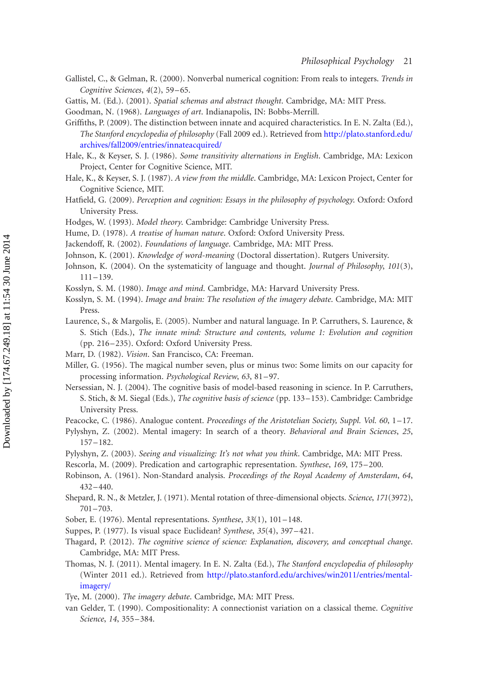<span id="page-20-28"></span>Gallistel, C., & Gelman, R. (2000). Nonverbal numerical cognition: From reals to integers. Trends in Cognitive Sciences, 4(2), 59–65.

<span id="page-20-12"></span>Gattis, M. (Ed.). (2001). Spatial schemas and abstract thought. Cambridge, MA: MIT Press.

<span id="page-20-0"></span>Goodman, N. (1968). Languages of art. Indianapolis, IN: Bobbs-Merrill.

- <span id="page-20-5"></span>Griffiths, P. (2009). The distinction between innate and acquired characteristics. In E. N. Zalta (Ed.), The Stanford encyclopedia of philosophy (Fall 2009 ed.). Retrieved from [http://plato.stanford.edu/](http://plato.stanford.edu/archives/fall2009/entries/innateacquired/) [archives/fall2009/entries/innateacquired/](http://plato.stanford.edu/archives/fall2009/entries/innateacquired/)
- <span id="page-20-24"></span>Hale, K., & Keyser, S. J. (1986). Some transitivity alternations in English. Cambridge, MA: Lexicon Project, Center for Cognitive Science, MIT.
- <span id="page-20-25"></span>Hale, K., & Keyser, S. J. (1987). A view from the middle. Cambridge, MA: Lexicon Project, Center for Cognitive Science, MIT.
- <span id="page-20-20"></span>Hatfield, G. (2009). Perception and cognition: Essays in the philosophy of psychology. Oxford: Oxford University Press.
- <span id="page-20-9"></span><span id="page-20-8"></span>Hodges, W. (1993). Model theory. Cambridge: Cambridge University Press.
- <span id="page-20-10"></span>Hume, D. (1978). A treatise of human nature. Oxford: Oxford University Press.
- <span id="page-20-23"></span>Jackendoff, R. (2002). Foundations of language. Cambridge, MA: MIT Press.
- <span id="page-20-27"></span>Johnson, K. (2001). Knowledge of word-meaning (Doctoral dissertation). Rutgers University.
- Johnson, K. (2004). On the systematicity of language and thought. Journal of Philosophy, 101(3), 111–139.
- <span id="page-20-13"></span><span id="page-20-6"></span>Kosslyn, S. M. (1980). Image and mind. Cambridge, MA: Harvard University Press.
- Kosslyn, S. M. (1994). Image and brain: The resolution of the imagery debate. Cambridge, MA: MIT Press.
- <span id="page-20-29"></span>Laurence, S., & Margolis, E. (2005). Number and natural language. In P. Carruthers, S. Laurence, & S. Stich (Eds.), The innate mind: Structure and contents, volume 1: Evolution and cognition (pp. 216–235). Oxford: Oxford University Press.
- <span id="page-20-26"></span><span id="page-20-7"></span>Marr, D. (1982). Vision. San Francisco, CA: Freeman.
- <span id="page-20-1"></span>Miller, G. (1956). The magical number seven, plus or minus two: Some limits on our capacity for processing information. Psychological Review, 63, 81 –97.
- Nersessian, N. J. (2004). The cognitive basis of model-based reasoning in science. In P. Carruthers, S. Stich, & M. Siegal (Eds.), The cognitive basis of science (pp. 133–153). Cambridge: Cambridge University Press.
- <span id="page-20-18"></span><span id="page-20-11"></span>Peacocke, C. (1986). Analogue content. Proceedings of the Aristotelian Society, Suppl. Vol. 60, 1-17.
- <span id="page-20-16"></span>Pylyshyn, Z. (2002). Mental imagery: In search of a theory. Behavioral and Brain Sciences, 25, 157–182.
- <span id="page-20-19"></span><span id="page-20-2"></span>Pylyshyn, Z. (2003). Seeing and visualizing: It's not what you think. Cambridge, MA: MIT Press.
- Rescorla, M. (2009). Predication and cartographic representation. Synthese, 169, 175–200.
- <span id="page-20-21"></span>Robinson, A. (1961). Non-Standard analysis. Proceedings of the Royal Academy of Amsterdam, 64, 432–440.
- <span id="page-20-3"></span>Shepard, R. N., & Metzler, J. (1971). Mental rotation of three-dimensional objects. Science, 171(3972), 701–703.
- <span id="page-20-22"></span><span id="page-20-4"></span>Sober, E. (1976). Mental representations. Synthese, 33(1), 101–148.
- Suppes, P. (1977). Is visual space Euclidean? Synthese, 35(4), 397–421.
- <span id="page-20-14"></span>Thagard, P. (2012). The cognitive science of science: Explanation, discovery, and conceptual change. Cambridge, MA: MIT Press.
- <span id="page-20-15"></span>Thomas, N. J. (2011). Mental imagery. In E. N. Zalta (Ed.), The Stanford encyclopedia of philosophy (Winter 2011 ed.). Retrieved from [http://plato.stanford.edu/archives/win2011/entries/mental](http://plato.stanford.edu/archives/win2011/entries/mental-imagery/)[imagery/](http://plato.stanford.edu/archives/win2011/entries/mental-imagery/)
- <span id="page-20-17"></span>Tye, M. (2000). The imagery debate. Cambridge, MA: MIT Press.
- van Gelder, T. (1990). Compositionality: A connectionist variation on a classical theme. Cognitive Science, 14, 355–384.